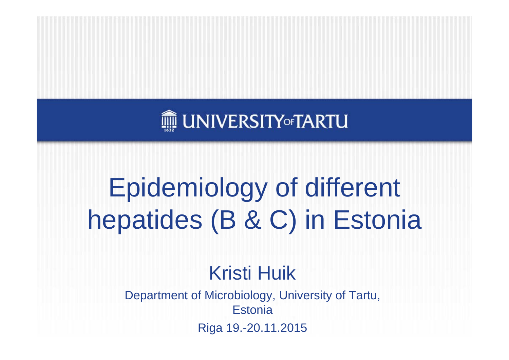

### Epidemiology of different hepatides (B & C) in Estonia

#### Kristi Huik

Department of Microbiology, University of Tartu, **Estonia** 

Riga 19.-20.11.2015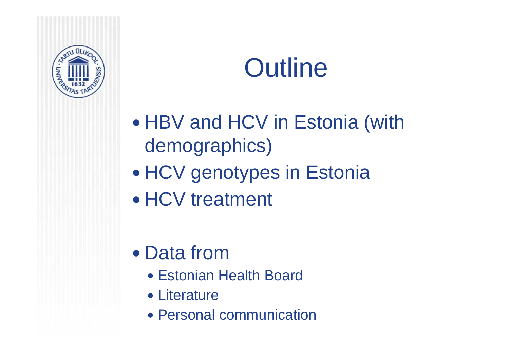

#### **Outline**

- $\bullet$ • HBV and HCV in Estonia (with demographics)
- $\bullet$ • HCV genotypes in Estonia
- HCV treatment
- Data from
	- Estonian Health Board
	- Literature
	- Personal communication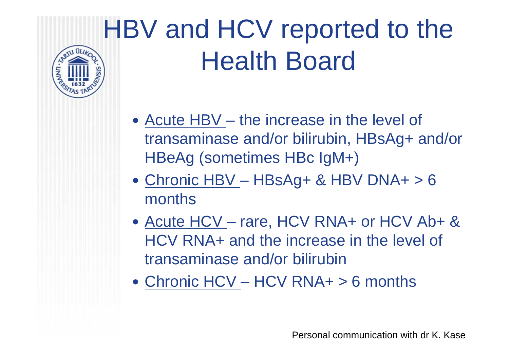## HBV and HCV reported to the Health Board

- Acute HBV the increase in the level of transaminase and/or bilirubin, HBsAg+ and/or HBeAg (sometimes HBc IgM+)
- Chronic HBV HBsAg+ & HBV DNA+ > 6 months
- Acute HCV rare, HCV RNA+ or HCV Ab+ & HCV RNA+ and the increase in the level of transaminase and/or bilirubin
- Chronic HCV HCV RNA+ > 6 months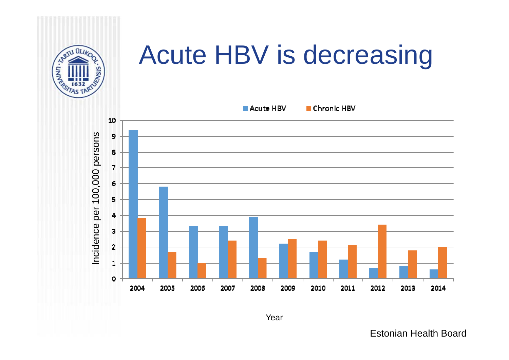

#### Acute HBV is decreasing



Year

Estonian Health Board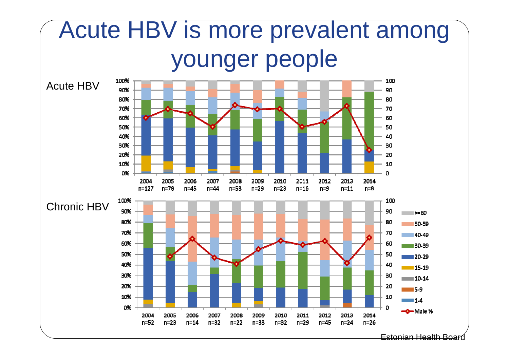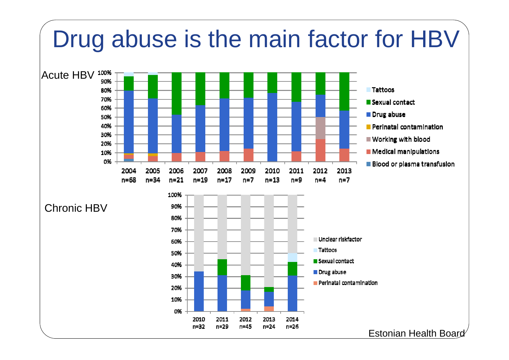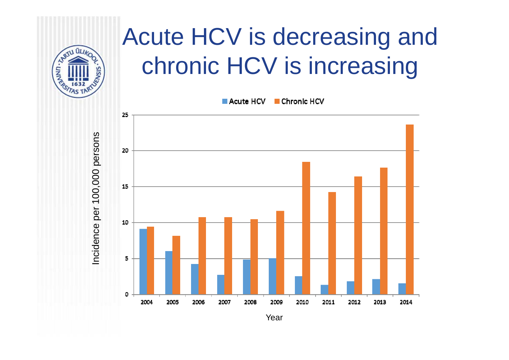

#### Acute HCV is decreasing and chronic HCV is increasing



Incidence per 100,000 persons Incidence per 100,000 persons

Year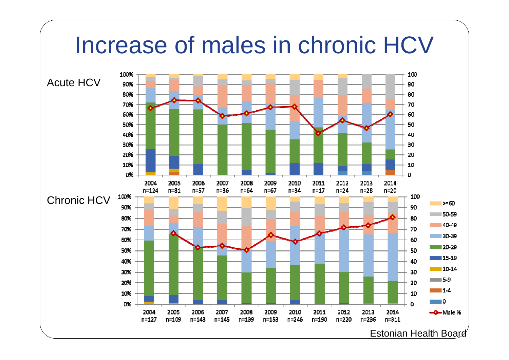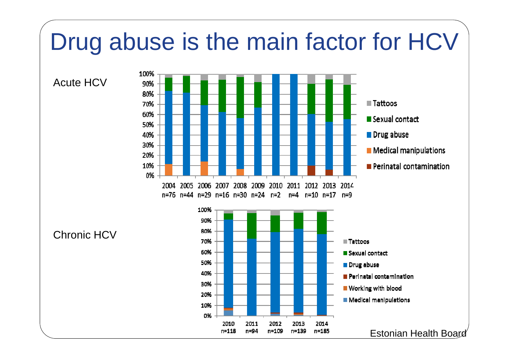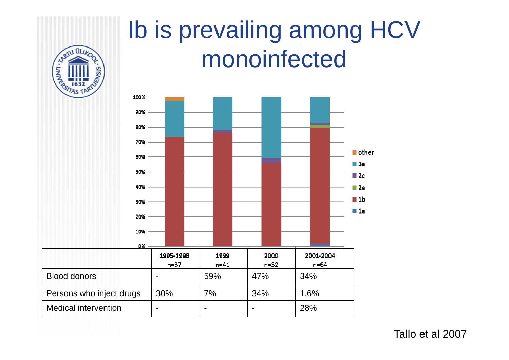#### Ib is prevailing among HCV **RABILIARDO** monoinfected VSIS 100% 90% 80% 70%  $\blacksquare$  other 60%  $\blacksquare$  3a 50%  $\blacksquare$  2c 40%  $\blacksquare$  2a  $\blacksquare$  1b 30%  $\blacksquare$  1a 20% 10% 0% 1995-1998 2000 2001-2004 1999  $n=37$  $n = 41$  $n=32$  $n=64$ Blood donors  $\vert$  -  $\vert$  59%  $\vert$  47% 34% Persons who inject drugs | 30% | 7% | 34% | 1.6% Medical intervention  $\vert \cdot \vert$  -  $\vert \cdot \vert$  -  $\vert$  -  $\vert$  28%

Tallo et al 2007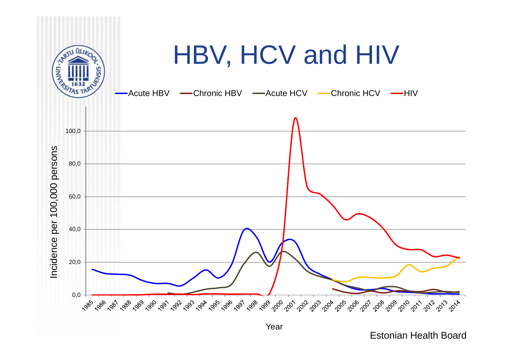

Year

Estonian Health Board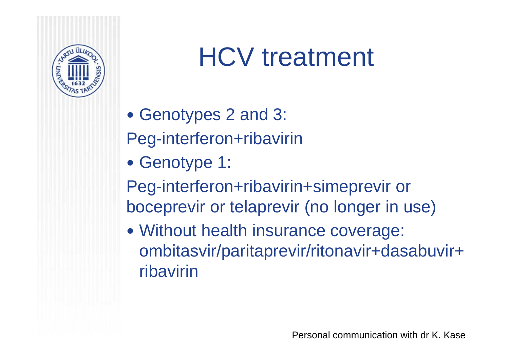

#### HCV treatment

- Genotypes 2 and 3:
- Peg-interferon+ribavirin
- Genotype 1:
- Peg-interferon+ribavirin+simeprevir or boceprevir or telaprevir (no longer in use)
- Without health insurance coverage: ombitasvir/paritaprevir/ritonavir+dasabuvir+ ribavirin